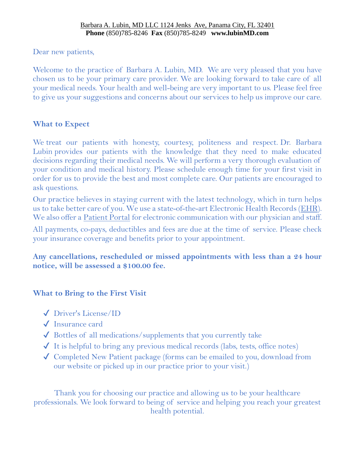Dear new patients,

Welcome to the practice of Barbara A. Lubin, MD. We are very pleased that you have chosen us to be your primary care provider. We are looking forward to take care of all your medical needs. Your health and well-being are very important to us. Please feel free to give us your suggestions and concerns about our services to help us improve our care.

# **What to Expect**

We treat our patients with honesty, courtesy, politeness and respect. Dr. Barbara Lubin provides our patients with the knowledge that they need to make educated decisions regarding their medical needs. We will perform a very thorough evaluation of your condition and medical history. Please schedule enough time for your first visit in order for us to provide the best and most complete care. Our patients are encouraged to ask questions.

Our practice believes in staying current with the latest technology, which in turn helps us to take better care of you. We use a state-of-the-art Electronic Health Records [\(EHR\)](http://www.capitalhealth.com/Physician-Group/About-Our-Practice/Benefits-of-Electronic-Health-Records). We also offer a [Patient Portal](http://www.capitalhealth.com/Physician-Group/Patient-Portal-NextMD) for electronic communication with our physician and staff.

All payments, co-pays, deductibles and fees are due at the time of service. Please check your insurance coverage and benefits prior to your appointment.

**Any cancellations, rescheduled or missed appointments with less than a 24 hour notice, will be assessed a \$100.00 fee.**

# **What to Bring to the First Visit**

- ✔ Driver's License/ID
- ✔ Insurance card
- $\sqrt{\frac{1}{10}}$  Bottles of all medications/supplements that you currently take
- $\checkmark$  It is helpful to bring any previous medical records (labs, tests, office notes)
- ✔ Completed New Patient package (forms can be emailed to you, download from our website or picked up in our practice prior to your visit.)

Thank you for choosing our practice and allowing us to be your healthcare professionals. We look forward to being of service and helping you reach your greatest health potential.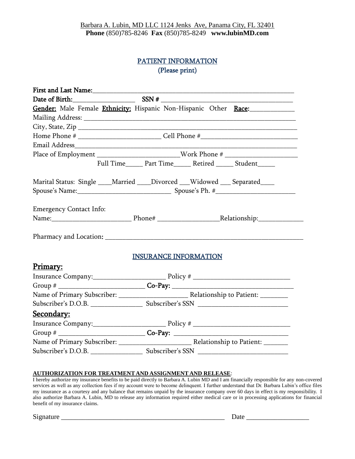# PATIENT INFORMATION (Please print)

### **AUTHORIZATION FOR TREATMENT AND ASSIGNMENT AND RELEASE**:

I hereby authorize my insurance benefits to be paid directly to Barbara A. Lubin MD and I am financially responsible for any non-covered services as well as any collection fees if my account were to become delinquent. I further understand that Dr. Barbara Lubin's office files my insurance as a courtesy and any balance that remains unpaid by the insurance company over 60 days in effect is my responsibility. I also authorize Barbara A. Lubin, MD to release any information required either medical care or in processing applications for financial benefit of my insurance claims.

Signature \_\_\_\_\_\_\_\_\_\_\_\_\_\_\_\_\_\_\_\_\_\_\_\_\_\_\_\_\_\_\_\_\_\_\_\_\_\_\_\_\_\_\_\_\_\_\_ Date \_\_\_\_\_\_\_\_\_\_\_\_\_\_\_\_\_\_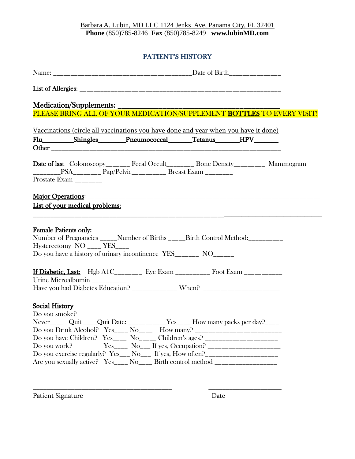# PATIENT'S HISTORY

| Medication/Supplements: _________<br>PLEASE BRING ALL OF YOUR MEDICATION/SUPPLEMENT BOTTLES TO EVERY VISIT!<br>Vaccinations (circle all vaccinations you have done and year when you have it done)<br>Flu____________Shingles__________Pneumococcal_________Tetanus________HPV________<br><b>Date of last</b> Colonoscopy <sub>______</sub> Fecal Occult________ Bone Density_________ Mammogram<br>Prostate Exam _________ |  |
|-----------------------------------------------------------------------------------------------------------------------------------------------------------------------------------------------------------------------------------------------------------------------------------------------------------------------------------------------------------------------------------------------------------------------------|--|
|                                                                                                                                                                                                                                                                                                                                                                                                                             |  |
|                                                                                                                                                                                                                                                                                                                                                                                                                             |  |
|                                                                                                                                                                                                                                                                                                                                                                                                                             |  |
|                                                                                                                                                                                                                                                                                                                                                                                                                             |  |
|                                                                                                                                                                                                                                                                                                                                                                                                                             |  |
|                                                                                                                                                                                                                                                                                                                                                                                                                             |  |
|                                                                                                                                                                                                                                                                                                                                                                                                                             |  |
|                                                                                                                                                                                                                                                                                                                                                                                                                             |  |
|                                                                                                                                                                                                                                                                                                                                                                                                                             |  |
|                                                                                                                                                                                                                                                                                                                                                                                                                             |  |
|                                                                                                                                                                                                                                                                                                                                                                                                                             |  |
|                                                                                                                                                                                                                                                                                                                                                                                                                             |  |
| List of your medical problems:                                                                                                                                                                                                                                                                                                                                                                                              |  |
| Female Patients only:<br>Number of Pregnancies _____Number of Births _____Birth Control Method:__________<br>Hysterectomy $NO$ <sub>____</sub> YES <sub>____</sub><br>Do you have a history of urinary incontinence YES_________ NO_______                                                                                                                                                                                  |  |
| If Diabetic, Last: Hgb A1C________ Eye Exam _________ Foot Exam ___________                                                                                                                                                                                                                                                                                                                                                 |  |
| Urine Microalbumin __________                                                                                                                                                                                                                                                                                                                                                                                               |  |
| Have you had Diabetes Education? _____________ When? ___________________________                                                                                                                                                                                                                                                                                                                                            |  |
| <b>Social History</b><br>Do you smoke?                                                                                                                                                                                                                                                                                                                                                                                      |  |
| Never_______ Quit _____Quit Date: ______________Yes______ How many packs per day?_____                                                                                                                                                                                                                                                                                                                                      |  |
| Do you Drink Alcohol? $Yes_{\_\_\_\_\_\_\_\_\_\_\_\_\_\_\_$ How many?<br>___________________________                                                                                                                                                                                                                                                                                                                        |  |
| Do you have Children? Yes____ No_____ Children's ages? _________________________                                                                                                                                                                                                                                                                                                                                            |  |
| Do you work?<br>$Yes_{---} No_{---} If yes, Occupation?$                                                                                                                                                                                                                                                                                                                                                                    |  |
| Do you exercise regularly? $Yes_{--} No_{--}$ If yes, How often?                                                                                                                                                                                                                                                                                                                                                            |  |
| Are you sexually active? $Yes_{\_\_\_\_\_\_\_\_\_\_}$ No <sub>_____</sub> Birth control method $\_\_\_\_\_\_\_\_\_\_\_\_\_\_\_\_\_\_\_\_\_\_\_\_\_\_\_\_$                                                                                                                                                                                                                                                                   |  |

\_\_\_\_\_\_\_\_\_\_\_\_\_\_\_\_\_\_\_\_\_\_\_\_\_\_\_\_\_\_\_\_\_\_\_\_\_\_\_\_ \_\_\_\_\_\_\_\_\_\_\_\_\_\_\_\_\_\_\_\_\_

Patient Signature Date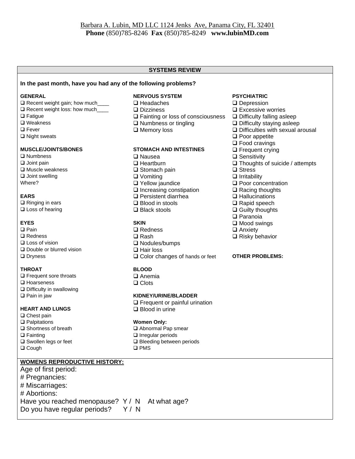#### **SYSTEMS REVIEW**

#### **In the past month, have you had any of the following problems?**

- ❑ Recent weight gain; how much\_\_\_\_ ❑ Headaches ❑ Depression
- ❑ Recent weight loss: how much\_\_\_\_ ❑ Dizziness ❑ Excessive worries
- 
- 
- 
- 

- ❑ Numbness ❑ Nausea ❑ Sensitivity
- ❑ Joint swelling ❑ Vomiting ❑ Irritability
- 

❑ Ringing in ears ❑ Blood in stools ❑ Rapid speech ❑ Loss of hearing ❑ Black stools ❑ Guilty thoughts

- ❑ Double or blurred vision ❑ Hair loss
- 

#### **THROAT BLOOD**

- ❑ Frequent sore throats ❑ Anemia ❑ Hoarseness ❑ Clots ❑ Difficulty in swallowing
- 

#### **HEART AND LUNGS** ❑ Blood in urine

- ❑ Chest pain ❑ Palpitations **Women Only:** ❑ Fainting ❑ Irregular periods
- ❑ Cough ❑ PMS

### **WOMENS REPRODUCTIVE HISTORY:**

Age of first period: # Pregnancies: # Miscarriages: # Abortions: Have you reached menopause? Y / N At what age? Do you have regular periods? Y/N

#### **GENERAL NERVOUS SYSTEM PSYCHIATRIC**

- 
- 
- ❑ Fatigue ❑ Fainting or loss of consciousness ❑ Difficulty falling asleep
	-
	-

# **MUSCLE/JOINTS/BONES STOMACH AND INTESTINES Q** Frequent crying<br>
Q Nausea Q Sensitivity

- 
- 
- ❑ Muscle weakness ❑ Stomach pain ❑ Stress
- 
- 
- ❑ Increasing constipation ❑ Racing thoughts
- **EARS** ❑ Persistent diarrhea ❑ Hallucinations
	-
	-

- **EYES SKIN** ❑ Mood swings ❑ Pain ❑ Redness ❑ Anxiety ❑ Redness ❑ Rash ❑ Risky behavior ❑ Loss of vision ❑ Nodules/bumps
	- □ Color changes of hands or feet **OTHER PROBLEMS:**

#### ❑ Pain in jaw **KIDNEY/URINE/BLADDER**

❑ Frequent or painful urination

**□ Abnormal Pap smear** ❑ Swollen legs or feet ❑ Bleeding between periods

- 
- 
- 
- ❑ Weakness ❑ Numbness or tingling ❑ Difficulty staying asleep
	- ❑ Fever ❑ Memory loss ❑ Difficulties with sexual arousal
- ❑ Night sweats ❑ Poor appetite
	- ❑ Food cravings
	-
	-
- ❑ Joint pain ❑ Heartburn ❑ Thoughts of suicide / attempts
	-
	-
	- Where? ❑ Yellow jaundice ❑ Poor concentration
		-
		-
		-
		-
		- ❑ Paranoia
		-
		-
		-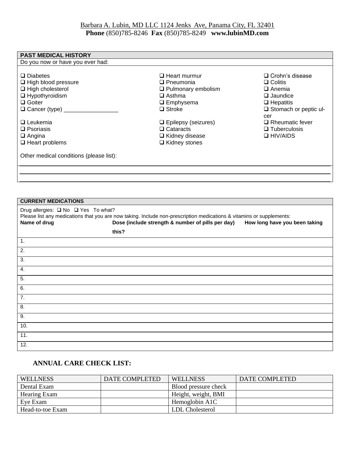| <b>PAST MEDICAL HISTORY</b>                                                                                                                                                                                                                                       |                                                                                                                               |                                                                                                                        |
|-------------------------------------------------------------------------------------------------------------------------------------------------------------------------------------------------------------------------------------------------------------------|-------------------------------------------------------------------------------------------------------------------------------|------------------------------------------------------------------------------------------------------------------------|
| Do you now or have you ever had:                                                                                                                                                                                                                                  |                                                                                                                               |                                                                                                                        |
| $\Box$ Diabetes<br>□ High blood pressure<br>$\Box$ High cholesterol<br>$\Box$ Hypothyroidism<br>$\Box$ Goiter<br>$\Box$ Cancer (type) $\_$                                                                                                                        | $\Box$ Heart murmur<br>$\Box$ Pneumonia<br>$\Box$ Pulmonary embolism<br>$\Box$ Asthma<br>$\square$ Emphysema<br>$\Box$ Stroke | □ Crohn's disease<br>$\Box$ Colitis<br>$\Box$ Anemia<br>$\Box$ Jaundice<br>$\Box$ Hepatitis<br>□ Stomach or peptic ul- |
| $\Box$ Leukemia<br>$\Box$ Psoriasis<br>$\Box$ Angina<br>$\Box$ Heart problems                                                                                                                                                                                     | $\Box$ Epilepsy (seizures)<br>$\Box$ Cataracts<br>□ Kidney disease<br>$\Box$ Kidney stones                                    | cer<br>$\Box$ Rheumatic fever<br>$\Box$ Tuberculosis<br>$\Box$ HIV/AIDS                                                |
| Other medical conditions (please list):                                                                                                                                                                                                                           |                                                                                                                               |                                                                                                                        |
|                                                                                                                                                                                                                                                                   |                                                                                                                               |                                                                                                                        |
|                                                                                                                                                                                                                                                                   |                                                                                                                               |                                                                                                                        |
|                                                                                                                                                                                                                                                                   |                                                                                                                               |                                                                                                                        |
|                                                                                                                                                                                                                                                                   |                                                                                                                               |                                                                                                                        |
| <b>CURRENT MEDICATIONS</b>                                                                                                                                                                                                                                        |                                                                                                                               |                                                                                                                        |
| Drug allergies: □ No □ Yes To what?<br>Please list any medications that you are now taking. Include non-prescription medications & vitamins or supplements:<br>Dose (include strength & number of pills per day)<br>Name of drug<br>How long have you been taking |                                                                                                                               |                                                                                                                        |
| this?                                                                                                                                                                                                                                                             |                                                                                                                               |                                                                                                                        |
| 1.                                                                                                                                                                                                                                                                |                                                                                                                               |                                                                                                                        |
| 2.                                                                                                                                                                                                                                                                |                                                                                                                               |                                                                                                                        |
| 3.                                                                                                                                                                                                                                                                |                                                                                                                               |                                                                                                                        |
| 4.                                                                                                                                                                                                                                                                |                                                                                                                               |                                                                                                                        |
| 5.                                                                                                                                                                                                                                                                |                                                                                                                               |                                                                                                                        |
| 6.                                                                                                                                                                                                                                                                |                                                                                                                               |                                                                                                                        |
| 7.                                                                                                                                                                                                                                                                |                                                                                                                               |                                                                                                                        |
| 8.                                                                                                                                                                                                                                                                |                                                                                                                               |                                                                                                                        |
| $\overline{9}$ .                                                                                                                                                                                                                                                  |                                                                                                                               |                                                                                                                        |

12.

10. 11.

## **ANNUAL CARE CHECK LIST:**

| <b>WELLNESS</b>  | <b>DATE COMPLETED</b> | <b>WELLNESS</b>      | DATE COMPLETED |
|------------------|-----------------------|----------------------|----------------|
| Dental Exam      |                       | Blood pressure check |                |
| Hearing Exam     |                       | Height, weight, BMI  |                |
| Eve Exam         |                       | Hemoglobin A1C       |                |
| Head-to-toe Exam |                       | LDL Cholesterol      |                |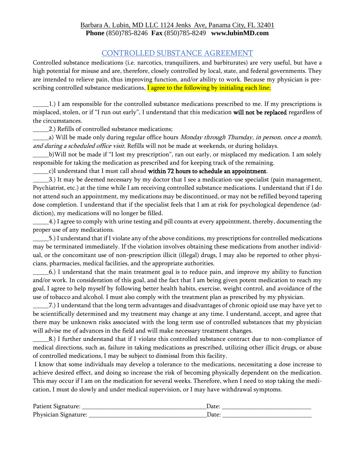# CONTROLLED SUBSTANCE AGREEMENT

Controlled substance medications (i.e. narcotics, tranquilizers, and barbiturates) are very useful, but have a high potential for misuse and are, therefore, closely controlled by local, state, and federal governments. They are intended to relieve pain, thus improving function, and/or ability to work. Because my physician is prescribing controlled substance medications, I agree to the following by initialing each line;

\_\_\_\_\_1.) I am responsible for the controlled substance medications prescribed to me. If my prescriptions is misplaced, stolen, or if "I run out early", I understand that this medication will not be replaced regardless of the circumstances.

\_\_\_\_\_2.) Refills of controlled substance medications;

a) Will be made only during regular office hours Monday through Thursday, in person, once a month, and during a scheduled office visit. Refills will not be made at weekends, or during holidays.

\_\_\_\_\_b)Will not be made if "I lost my prescription", ran out early, or misplaced my medication. I am solely responsible for taking the medication as prescribed and for keeping track of the remaining.

c)I understand that I must call ahead within 72 hours to schedule an appointment.

\_\_\_\_\_3.) It may be deemed necessary by my doctor that I see a medication-use specialist (pain management, Psychiatrist, etc.) at the time while I am receiving controlled substance medications. I understand that if I do not attend such an appointment, my medications may be discontinued, or may not be refilled beyond tapering dose completion. I understand that if the specialist feels that I am at risk for psychological dependence (addiction), my medications will no longer be filled.

\_\_\_\_\_4.) I agree to comply with urine testing and pill counts at every appointment, thereby, documenting the proper use of any medications.

\_\_\_\_\_5.) I understand that if I violate any of the above conditions, my prescriptions for controlled medications may be terminated immediately. If the violation involves obtaining these medications from another individual, or the concomitant use of non-prescription illicit (illegal) drugs, I may also be reported to other physicians, pharmacies, medical facilities, and the appropriate authorities.

\_\_\_\_\_6.) I understand that the main treatment goal is to reduce pain, and improve my ability to function and/or work. In consideration of this goal, and the fact that I am being given potent medication to reach my goal, I agree to help myself by following better health habits, exercise, weight control, and avoidance of the use of tobacco and alcohol. I must also comply with the treatment plan as prescribed by my physician.

\_\_\_\_\_7.) I understand that the long term advantages and disadvantages of chronic opioid use may have yet to be scientifically determined and my treatment may change at any time. I understand, accept, and agree that there may be unknown risks associated with the long term use of controlled substances that my physician will advise me of advances in the field and will make necessary treatment changes.

\_\_\_\_\_8.) I further understand that if I violate this controlled substance contract due to non-compliance of medical directions, such as, failure in taking medications as prescribed, utilizing other illicit drugs, or abuse of controlled medications, I may be subject to dismissal from this facility.

I know that some individuals may develop a tolerance to the medications, necessitating a dose increase to achieve desired effect, and doing so increase the risk of becoming physically dependent on the medication. This may occur if I am on the medication for several weeks. Therefore, when I need to stop taking the medication, I must do slowly and under medical supervision, or I may have withdrawal symptoms.

| Patient Signature:   |      |
|----------------------|------|
| Physician Signature: | Date |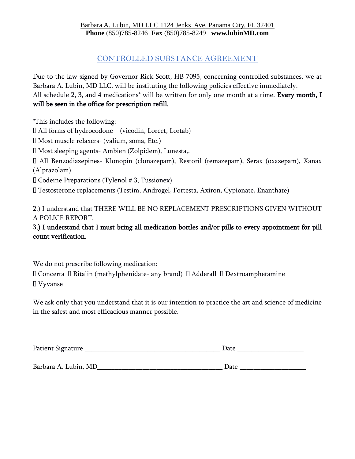# CONTROLLED SUBSTANCE AGREEMENT

Due to the law signed by Governor Rick Scott, HB 7095, concerning controlled substances, we at Barbara A. Lubin, MD LLC, will be instituting the following policies effective immediately. All schedule 2, 3, and 4 medications<sup>\*</sup> will be written for only one month at a time. Every month, I will be seen in the office for prescription refill.

\*This includes the following:

All forms of hydrocodone – (vicodin, Lorcet, Lortab)

Most muscle relaxers- (valium, soma, Etc.)

Most sleeping agents- Ambien (Zolpidem), Lunesta,.

All Benzodiazepines- Klonopin (clonazepam), Restoril (temazepam), Serax (oxazepam), Xanax (Alprazolam)

Codeine Preparations (Tylenol # 3, Tussionex)

Testosterone replacements (Testim, Androgel, Fortesta, Axiron, Cypionate, Enanthate)

2.) I understand that THERE WILL BE NO REPLACEMENT PRESCRIPTIONS GIVEN WITHOUT A POLICE REPORT.

3.) I understand that I must bring all medication bottles and/or pills to every appointment for pill count verification.

We do not prescribe following medication:

 $\Box$  Concerta  $\Box$  Ritalin (methylphenidate- any brand)  $\Box$  Adderall  $\Box$  Dextroamphetamine Vyvanse

We ask only that you understand that it is our intention to practice the art and science of medicine in the safest and most efficacious manner possible.

| Patient Signature    | Date |
|----------------------|------|
|                      |      |
| Barbara A. Lubin, MD | Date |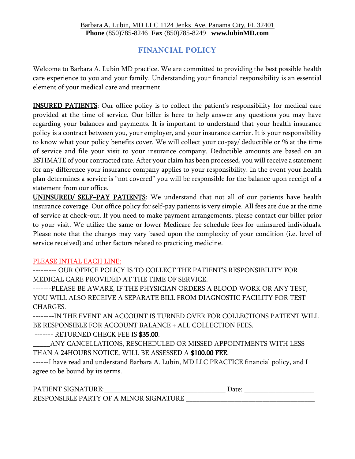# **FINANCIAL POLICY**

Welcome to Barbara A. Lubin MD practice. We are committed to providing the best possible health care experience to you and your family. Understanding your financial responsibility is an essential element of your medical care and treatment.

INSURED PATIENTS: Our office policy is to collect the patient's responsibility for medical care provided at the time of service. Our biller is here to help answer any questions you may have regarding your balances and payments. It is important to understand that your health insurance policy is a contract between you, your employer, and your insurance carrier. It is your responsibility to know what your policy benefits cover. We will collect your co-pay/ deductible or % at the time of service and file your visit to your insurance company. Deductible amounts are based on an ESTIMATE of your contracted rate. After your claim has been processed, you will receive a statement for any difference your insurance company applies to your responsibility. In the event your health plan determines a service is "not covered" you will be responsible for the balance upon receipt of a statement from our office.

UNINSURED/ SELF–PAY PATIENTS: We understand that not all of our patients have health insurance coverage. Our office policy for self-pay patients is very simple. All fees are due at the time of service at check-out. If you need to make payment arrangements, please contact our biller prior to your visit. We utilize the same or lower Medicare fee schedule fees for uninsured individuals. Please note that the charges may vary based upon the complexity of your condition (i.e. level of service received) and other factors related to practicing medicine.

### PLEASE INTIAL EACH LINE:

--------- OUR OFFICE POLICY IS TO COLLECT THE PATIENT'S RESPONSIBILITY FOR MEDICAL CARE PROVIDED AT THE TIME OF SERVICE.

-------PLEASE BE AWARE, IF THE PHYSICIAN ORDERS A BLOOD WORK OR ANY TEST, YOU WILL ALSO RECEIVE A SEPARATE BILL FROM DIAGNOSTIC FACILITY FOR TEST CHARGES.

--------IN THE EVENT AN ACCOUNT IS TURNED OVER FOR COLLECTIONS PATIENT WILL BE RESPONSIBLE FOR ACCOUNT BALANCE + ALL COLLECTION FEES.

------- RETURNED CHECK FEE IS \$35.00.

\_\_\_\_\_ANY CANCELLATIONS, RESCHEDULED OR MISSED APPOINTMENTS WITH LESS THAN A 24HOURS NOTICE, WILL BE ASSESSED A \$100.00 FEE.

------I have read and understand Barbara A. Lubin, MD LLC PRACTICE financial policy, and I agree to be bound by its terms.

| DΔ<br>'N.<br>. <u>. .</u><br>M                                 | ucc |
|----------------------------------------------------------------|-----|
| $F$ PARTY OF<br><b>RESPO</b><br>NSTRT<br>MINOR SIGN<br>.R<br>Δ |     |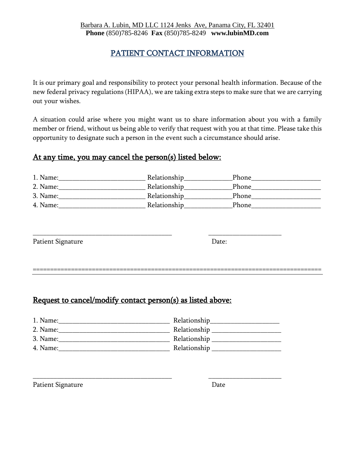# PATIENT CONTACT INFORMATION

It is our primary goal and responsibility to protect your personal health information. Because of the new federal privacy regulations (HIPAA), we are taking extra steps to make sure that we are carrying out your wishes.

A situation could arise where you might want us to share information about you with a family member or friend, without us being able to verify that request with you at that time. Please take this opportunity to designate such a person in the event such a circumstance should arise.

# At any time, you may cancel the person(s) listed below:

| 1. Name: | Relationship | Phone        |
|----------|--------------|--------------|
| 2. Name: | Relationship | <b>Phone</b> |
| 3. Name: | Relationship | Phone        |
| 4. Name: | Relationship | Phone        |

| Patient Signature | Date: |
|-------------------|-------|
|                   |       |

===================================================================================

# Request to cancel/modify contact person(s) as listed above:

| 1. Name: | Relationship |
|----------|--------------|
| 2. Name: | Relationship |
| 3. Name: | Relationship |
| 4. Name: | Relationship |

\_\_\_\_\_\_\_\_\_\_\_\_\_\_\_\_\_\_\_\_\_\_\_\_\_\_\_\_\_\_\_\_\_\_\_\_\_\_\_\_ \_\_\_\_\_\_\_\_\_\_\_\_\_\_\_\_\_\_\_\_\_

\_\_\_\_\_\_\_\_\_\_\_\_\_\_\_\_\_\_\_\_\_\_\_\_\_\_\_\_\_\_\_\_\_\_\_\_\_\_\_\_ \_\_\_\_\_\_\_\_\_\_\_\_\_\_\_\_\_\_\_\_\_

Patient Signature Date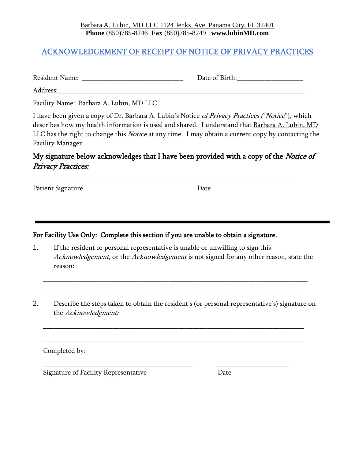# ACKNOWLEDGEMENT OF RECEIPT OF NOTICE OF PRIVACY PRACTICES

| <b>Resident Name:</b> | Date of Birth: |
|-----------------------|----------------|
| Address:              |                |

Facility Name: Barbara A. Lubin, MD LLC

I have been given a copy of Dr. Barbara A. Lubin's Notice of Privacy Practices ("Notice"), which describes how my health information is used and shared. I understand that Barbara A. Lubin, MD LLC has the right to change this *Notice* at any time. I may obtain a current copy by contacting the Facility Manager.

# My signature below acknowledges that I have been provided with a copy of the *Notice of* Privacy Practices:

\_\_\_\_\_\_\_\_\_\_\_\_\_\_\_\_\_\_\_\_\_\_\_\_\_\_\_\_\_\_\_\_\_\_\_\_\_\_\_\_\_\_\_\_\_ \_\_\_\_\_\_\_\_\_\_\_\_\_\_\_\_\_\_\_\_\_\_\_\_\_\_\_\_\_

Patient Signature Date

For Facility Use Only: Complete this section if you are unable to obtain a signature.

1. If the resident or personal representative is unable or unwilling to sign this Acknowledgement, or the Acknowledgement is not signed for any other reason, state the reason:

\_\_\_\_\_\_\_\_\_\_\_\_\_\_\_\_\_\_\_\_\_\_\_\_\_\_\_\_\_\_\_\_\_\_\_\_\_\_\_\_\_\_\_\_\_\_\_\_\_\_\_\_\_\_\_\_\_\_\_\_\_\_\_\_\_\_\_\_\_\_\_\_\_\_\_\_

\_\_\_\_\_\_\_\_\_\_\_\_\_\_\_\_\_\_\_\_\_\_\_\_\_\_\_\_\_\_\_\_\_\_\_\_\_\_\_\_\_\_\_\_\_\_\_\_\_\_\_\_\_\_\_\_\_\_\_\_\_\_\_\_\_\_\_\_\_\_\_\_\_\_\_\_

2. Describe the steps taken to obtain the resident's (or personal representative's) signature on the Acknowledgment:

\_\_\_\_\_\_\_\_\_\_\_\_\_\_\_\_\_\_\_\_\_\_\_\_\_\_\_\_\_\_\_\_\_\_\_\_\_\_\_\_\_\_\_\_\_\_\_\_\_\_\_\_\_\_\_\_\_\_\_\_\_\_\_\_\_\_\_\_\_\_\_\_\_\_\_

\_\_\_\_\_\_\_\_\_\_\_\_\_\_\_\_\_\_\_\_\_\_\_\_\_\_\_\_\_\_\_\_\_\_\_\_\_\_\_\_\_\_\_\_\_\_\_\_\_\_\_\_\_\_\_\_\_\_\_\_\_\_\_\_\_\_\_\_\_\_\_\_\_\_\_

\_\_\_\_\_\_\_\_\_\_\_\_\_\_\_\_\_\_\_\_\_\_\_\_\_\_\_\_\_\_\_\_\_\_\_\_\_\_\_\_\_\_\_ \_\_\_\_\_\_\_\_\_\_\_\_\_\_\_\_\_\_\_\_\_

Completed by:

Signature of Facility Representative **Date**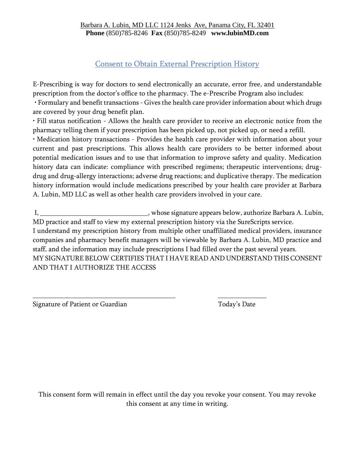# Consent to Obtain External Prescription History

E-Prescribing is way for doctors to send electronically an accurate, error free, and understandable prescription from the doctor's office to the pharmacy. The e-Prescribe Program also includes:

• Formulary and benefit transactions - Gives the health care provider information about which drugs are covered by your drug benefit plan.

• Fill status notification - Allows the health care provider to receive an electronic notice from the pharmacy telling them if your prescription has been picked up, not picked up, or need a refill.

• Medication history transactions - Provides the health care provider with information about your current and past prescriptions. This allows health care providers to be better informed about potential medication issues and to use that information to improve safety and quality. Medication history data can indicate: compliance with prescribed regimens; therapeutic interventions; drugdrug and drug-allergy interactions; adverse drug reactions; and duplicative therapy. The medication history information would include medications prescribed by your health care provider at Barbara A. Lubin, MD LLC as well as other health care providers involved in your care.

I, \_\_\_\_\_\_\_\_\_\_\_\_\_\_\_\_\_\_\_\_\_\_\_\_\_\_\_\_\_\_\_\_, whose signature appears below, authorize Barbara A. Lubin, MD practice and staff to view my external prescription history via the SureScripts service. I understand my prescription history from multiple other unaffiliated medical providers, insurance companies and pharmacy benefit managers will be viewable by Barbara A. Lubin, MD practice and staff, and the information may include prescriptions I had filled over the past several years. MY SIGNATURE BELOW CERTIFIES THAT I HAVE READ AND UNDERSTAND THIS CONSENT AND THAT I AUTHORIZE THE ACCESS

\_\_\_\_\_\_\_\_\_\_\_\_\_\_\_\_\_\_\_\_\_\_\_\_\_\_\_\_\_\_\_\_\_\_\_\_\_\_\_\_\_ \_\_\_\_\_\_\_\_\_\_\_\_\_\_

Signature of Patient or Guardian Today's Date

This consent form will remain in effect until the day you revoke your consent. You may revoke this consent at any time in writing.